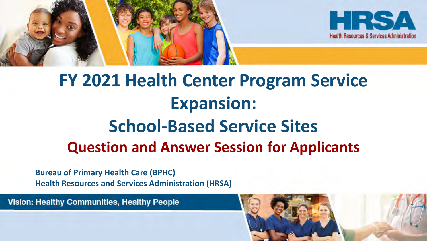

# **FY 2021 Health Center Program Service Expansion: School-Based Service Sites Question and Answer Session for Applicants**

#### **Bureau of Primary Health Care (BPHC) Health Resources and Services Administration (HRSA)**

**Vision: Healthy Communities, Healthy People** 

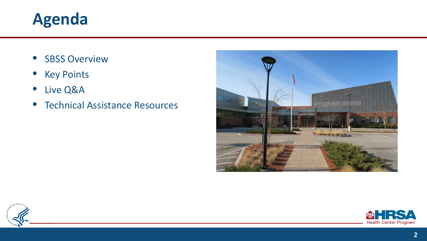#### **Agenda**

- SBSS Overview
- Key Points
- Live Q&A
- Technical Assistance Resources





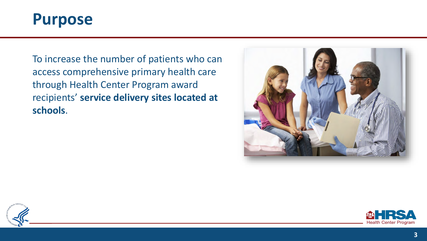

To increase the number of patients who can access comprehensive primary health care through Health Center Program award recipients' **service delivery sites located at schools**.





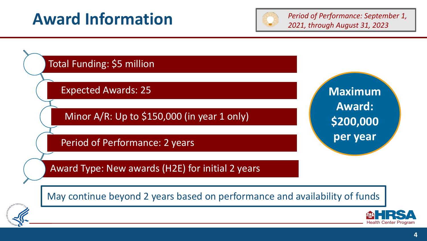### **Award Information** *Period of Performance: September 1,*



*2021, through August 31, 2023*

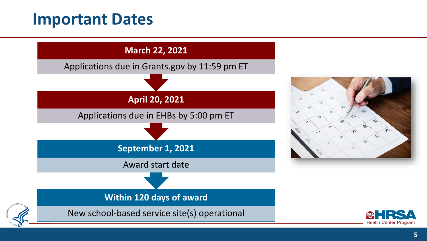#### **Important Dates**

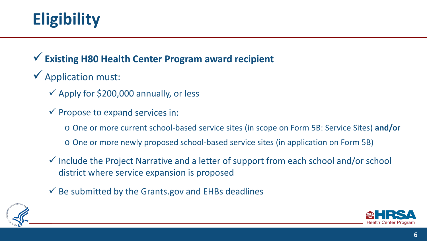# **Eligibility**

#### **Existing H80 Health Center Program award recipient**

#### $\checkmark$  Application must:

- $\checkmark$  Apply for \$200,000 annually, or less
- $\checkmark$  Propose to expand services in:
	- o One or more current school-based service sites (in scope on Form 5B: Service Sites) **and/or**
	- o One or more newly proposed school-based service sites (in application on Form 5B)
- $\checkmark$  Include the Project Narrative and a letter of support from each school and/or school district where service expansion is proposed
- $\checkmark$  Be submitted by the Grants.gov and EHBs deadlines



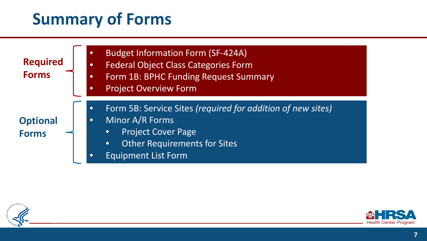### **Summary of Forms**

| <b>Required</b><br><b>Forms</b> | $\bullet$<br>$\bullet$<br>$\bullet$<br>$\bullet$ | <b>Budget Information Form (SF-424A)</b><br><b>Federal Object Class Categories Form</b><br>Form 1B: BPHC Funding Request Summary<br><b>Project Overview Form</b>                                           |
|---------------------------------|--------------------------------------------------|------------------------------------------------------------------------------------------------------------------------------------------------------------------------------------------------------------|
| <b>Optional</b><br><b>Forms</b> | $\bullet$<br>$\bullet$<br>$\bullet$              | Form 5B: Service Sites (required for addition of new sites)<br>Minor A/R Forms<br><b>Project Cover Page</b><br>$\bullet$<br><b>Other Requirements for Sites</b><br>$\bullet$<br><b>Equipment List Form</b> |



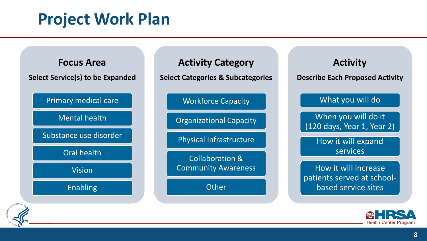### **Project Work Plan**





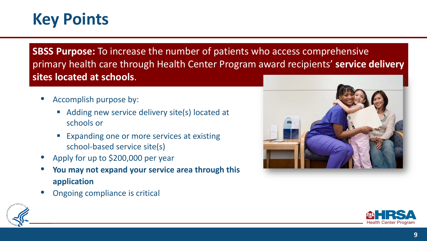#### **Key Points**

**SBSS Purpose:** To increase the number of patients who access comprehensive primary health care through Health Center Program award recipients' **service delivery sites located at schools**.

- Accomplish purpose by:
	- Adding new service delivery site(s) located at schools or
	- **Expanding one or more services at existing** school-based service site(s)
- Apply for up to \$200,000 per year
- **You may not expand your service area through this application**
- Ongoing compliance is critical





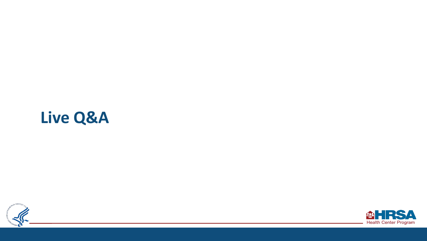## **Live Q&A**



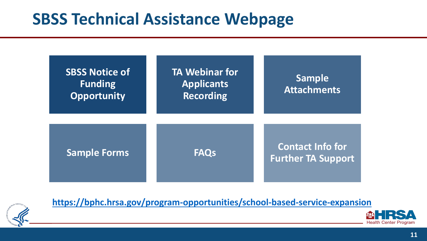### **SBSS Technical Assistance Webpage**





**<https://bphc.hrsa.gov/program-opportunities/school-based-service-expansion>**

Health Center Program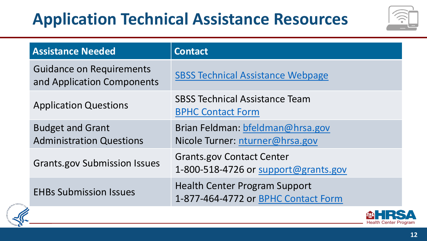# **Application Technical Assistance Resources**



| <b>Assistance Needed</b>                                      | <b>Contact</b>                                                              |
|---------------------------------------------------------------|-----------------------------------------------------------------------------|
| <b>Guidance on Requirements</b><br>and Application Components | <b>SBSS Technical Assistance Webpage</b>                                    |
| <b>Application Questions</b>                                  | <b>SBSS Technical Assistance Team</b><br><b>BPHC Contact Form</b>           |
| <b>Budget and Grant</b><br><b>Administration Questions</b>    | Brian Feldman: bfeldman@hrsa.gov<br>Nicole Turner: nturner@hrsa.gov         |
| <b>Grants.gov Submission Issues</b>                           | <b>Grants.gov Contact Center</b><br>1-800-518-4726 or support@grants.gov    |
| <b>EHBs Submission Issues</b><br><b>SALES</b>                 | <b>Health Center Program Support</b><br>1-877-464-4772 or BPHC Contact Form |